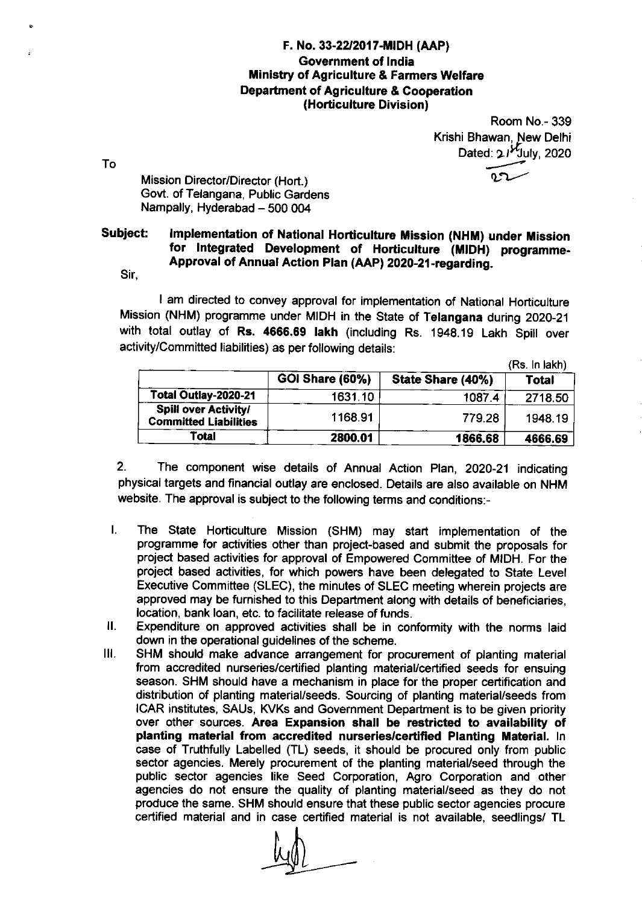## F. No. 33-22/2017-mDH (AAP) Government of lndia Ministry of Agriculture & Farmers Welfare Department of Agriculture & Cooperation (Horticulture Division)

Room No.- 339 Krishi Bhawan. New Delhi Dated:  $21^{k}$ July, 2020 4....,.1  $\mathfrak{c}$ 

Mission Director/Director (Hort.) Govt. of Telangana, Public Gardens Nampally, Hyderabad - 500 004

## Subject: Implementation of National Horticulture Mission (NHM) under Mission<br>for lntegrated Development of Horticulture (MIDH) programme-Approval of Annual Action Plan (AAP) 2020-21-regarding.

Sir,

To

I am directed to convey approval for implementation of National Horticulture Mission (NHM) programme under MIDH in the State of Telangana during 2020-21 with total outlay of Rs. 4666.69 lakh (including Rs. 1948.19 Lakh Spill over activity/Committed liabilities) as per following details:

|                                                             |                        |                   | (Rs. In lakh) |
|-------------------------------------------------------------|------------------------|-------------------|---------------|
|                                                             | <b>GOI Share (60%)</b> | State Share (40%) | <b>Total</b>  |
| Total Outlay-2020-21                                        | 1631.10                | 1087.4            | 2718.50       |
| <b>Spill over Activity/</b><br><b>Committed Liabilities</b> | 1168.91                | 779.28            | 1948.19       |
| Total                                                       | 2800.01                | 1866.68           | 4666.69       |

2. The component wise details of Annual Action Plan, 2O2O-21 indicating physical targets and financial outlay are enclosed. Details are also available on NHM website. The approval is subject to the following terms and conditions:-

- I. The State Horticulture Mission (SHM) may start implementation of the programme for activities other than project-based and submit the proposals for project based activities for approval of Empowered Committee of MIDH. For the project based activities, for which powers have been delegated to State Level Executive Committee (SLEC), the minutes of SLEC meeting wherein projects are approved may be furnished to this Department along with details of beneficiaries, location, bank loan, etc. to facilitate release of funds.
- Expenditure on approved activities shall be in conformity with the norms laid down in the operational guidelines of the scheme.  $II.$
- SHM should make advance arrangement for procurement of planting material from accredited nurseries/certified planting material/certified seeds for ensuing season. SHM should have a mechanism in place for the proper certification and distribution of planting material/seeds. Sourcing of planting material/seeds from ICAR institutes, SAUs, KVKs and Government Department is to be given priority over other sources. Area Expansion shall be restricted to availability of planting material from accredited nurseries/certified Planting Material. In case of Truthfully Labelled (TL) seeds, it should be procured only from public sector agencies. Merely procurement of the planting material/seed through the public sector agencies like Seed Corporation, Agro Corporation and other agencies do not ensure the quality of planting material/seed as they do not produce the same. SHM should ensure that these public sector agencies procure certified material and in case certified material is not available, seedlings/ TL ilr.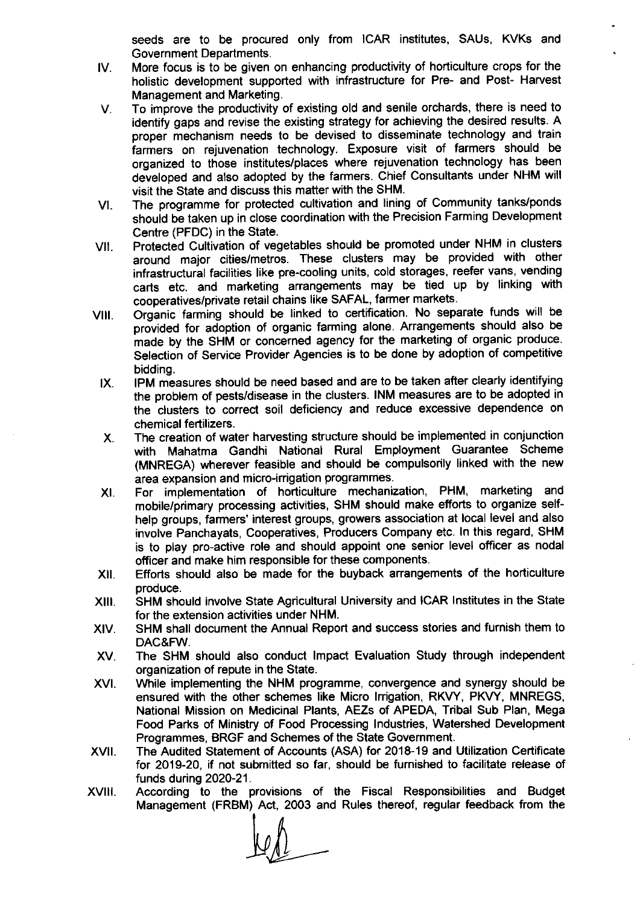seeds are to be procured only from ICAR institutes, SAUs, KVKs and Government Departments.

- tv. More focus is to be given on enhancing productivity of horticulture crops for the holistic development supported with infrastructure for Pre- and Post- Harvest Management and Marketing.
- To improve the productivity of existing old and senile orchards, there is need to V. identify gaps and revise the existing strategy for achieving the desired results. A proper mechanism needs to be devised to disseminate technology and train farmers on rejuvenation technology. Exposure visit of farmers should be organized to those institutes/places where rejuvenation technology has been developed and also adopted by the farmers. Chief Consultants under NHM will visit the State and discuss this matter with the SHM.
- vl. The programme for protected cultivation and lining of Community tanks/ponds should be taken up in close coordination with the Precision Farming Development Centre (PFDC) in the State.
- vil Protected Cultivation of vegetables should be promoted under NHM in clusters around major cities/metros. These clusters may be provided with other infrastructural facilities like pre-cooling units, cold storages, reefer vans, vending carts etc. and marketing arrangements may be tied up by linking with cooperatives/private retail chains like SAFAL, farmer markets.
- VIII. Organic farming should be linked to certification. No separate funds will be provided for adoption of organic farming alone. Arrangements should also be made by the SHM or concerned agency for the marketing of organic produce. Selection of Service Provider Agencies is to be done by adoption of competitive bidding.
	- IX. IPM measures should be need based and are to be taken after clearly identifying the problem of pests/disease in the clusters. INM measures are to be adopted in the clusters to correct soil deficiency and reduce excessive dependence on chemical fertilizers.
	- The creation of water harvesting structure should be implemented in conjunction with Mahatma Gandhi National Rural Employment Guarantee Scheme (MNREGA) wherever feasible and should be compulsorily linked with the new area expansion and micro-irrigation programmes.  $X_{n}$
	- XI For implementation of horticulture mechanization, PHM, marketing and mobile/primary processing activities, SHM should make efforts to organize selfhelp groups, farmers' interest groups, growers association at local level and also involve Panchayats, Cooperatives, Producers Company etc. ln this regard, SHM is to play pro-active role and should appoint one senior level officer as nodal officer and make him responsible for these components.
- XII. Efforts should also be made for the buyback arrangements of the horticulture produce.
- xlll SHM should involve State Agricultural University and ICAR lnstitutes in the State for the extension activities under NHM.
- XIV. SHM shall document the Annual Report and success stories and furnish them to DAC&FW.
- The SHM should also conduct lmpact Evaluation Study through independent organization of repute in the State. XV
- XVI While implementing the NHM programme, convergence and synergy should be ensured with the other schemes like Micro lrrigation, RKVY, PKVY, MNREGS, National Mission on Medicinal Plants, AEZs of APEDA, Tribal Sub Plan, Mega Food Parks of Ministry of Food Processing lndustries, Watershed Development Programmes, BRGF and Schemes of the State Government.
- xvil The Audited Statement of Accounts (ASA) for 2018-19 and Utilization Certificate for 2O19-2O, if not submitted so far, should be furnished to facilitate release of funds during 2020-21.
- According to the provisions of the Fiscal Responsibilities and Budget Management (FRBM) Act, 2003 and Rules thereof, regular feedback from the xvilt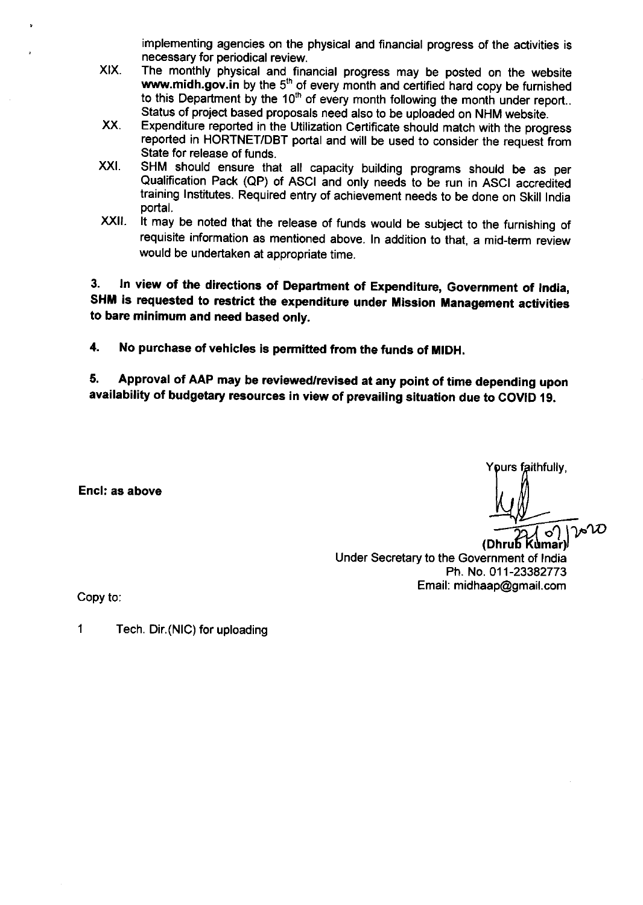implementing agencies on the physical and financial progress of the activities is necessary for periodical review.

- XIX. The monthly physical and financial progress may be posted on the website www.midh.gov.in by the  $5<sup>th</sup>$  of every month and certified hard copy be furnished to this Department by the  $10<sup>th</sup>$  of every month following the month under report.. Status of project based proposals need also to be uploaded on NHM website.
- xx. Expenditure reported in the Utilization Certificate should match with the progress reported in HORTNET/DBT portal and will be used to consider the request from State for release of funds.
- XXI. SHM should ensure that all capacity building programs should be as per Qualification Pack (QP) of ASCI and only needs to be run in ASCI accredited training lnstitutes. Required entry of achievement needs to be done on skill lndia portal.
- $XXII$ . It may be noted that the release of funds would be subject to the furnishing of requisite information as mentioned above. In addition to that, a mid-term review would be undertaken at appropriate time.

3. In view of the directions of Department of Expenditure, Government of India,<br>SHM is requested to restrict the expenditure under Mission Management activities to bare minimum and need based only.

4. No purchase of vehicles is permitted from the funds of MIDH.

5. Approval of AAP may be reviewed/revised at any point of time depending upon availability of budgetary resources in view of prevailing situation due to COVID 19.

Encl: as above

Y**o**urs faithfully,

*J*∣o′)<br>(umar) (DhruЪ l Under Secretary to the Government of lndia Ph. No.011-23382773 Email: midhaap@gmail.com

Copy to:

1 Tech. Dir.(NlC) for uploading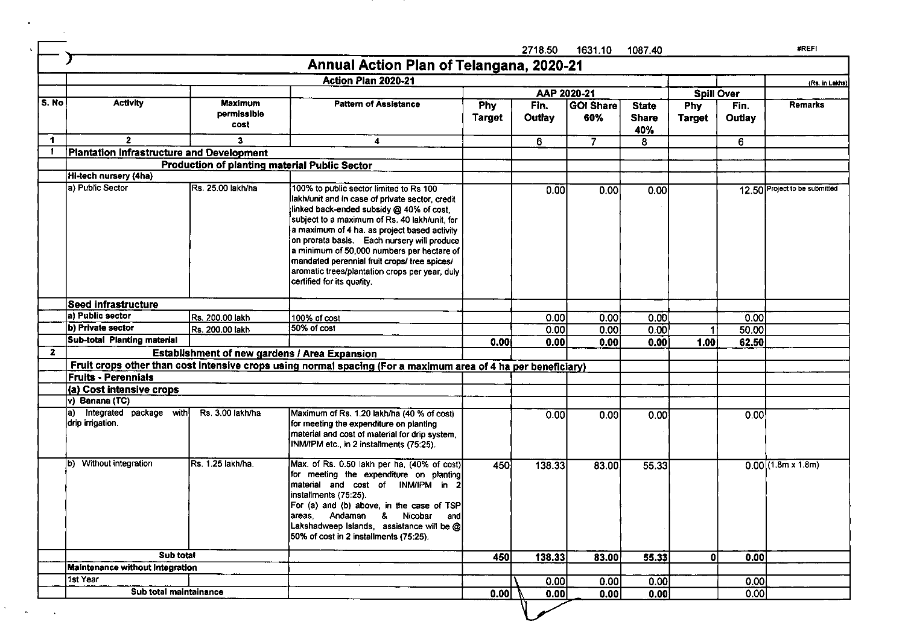|                                                                                                                                                                                                                                                                                                                                                                                                                                                                                                                                                                                                                                                                                                                                                                                                                                                                                                                                                                                                                                                                                                                                                                                                                                                                                                                                                                                                                                                                                                                                                                                                                                                                                                                                                                                                                                                                                                                                                                                                                                                                                                                                                                                                                                                                                                                                                                                                                                                                                                                    |                                        |                |      | 2718.50 | 1631.10 | 1087.40 |      | #REFI                |
|--------------------------------------------------------------------------------------------------------------------------------------------------------------------------------------------------------------------------------------------------------------------------------------------------------------------------------------------------------------------------------------------------------------------------------------------------------------------------------------------------------------------------------------------------------------------------------------------------------------------------------------------------------------------------------------------------------------------------------------------------------------------------------------------------------------------------------------------------------------------------------------------------------------------------------------------------------------------------------------------------------------------------------------------------------------------------------------------------------------------------------------------------------------------------------------------------------------------------------------------------------------------------------------------------------------------------------------------------------------------------------------------------------------------------------------------------------------------------------------------------------------------------------------------------------------------------------------------------------------------------------------------------------------------------------------------------------------------------------------------------------------------------------------------------------------------------------------------------------------------------------------------------------------------------------------------------------------------------------------------------------------------------------------------------------------------------------------------------------------------------------------------------------------------------------------------------------------------------------------------------------------------------------------------------------------------------------------------------------------------------------------------------------------------------------------------------------------------------------------------------------------------|----------------------------------------|----------------|------|---------|---------|---------|------|----------------------|
|                                                                                                                                                                                                                                                                                                                                                                                                                                                                                                                                                                                                                                                                                                                                                                                                                                                                                                                                                                                                                                                                                                                                                                                                                                                                                                                                                                                                                                                                                                                                                                                                                                                                                                                                                                                                                                                                                                                                                                                                                                                                                                                                                                                                                                                                                                                                                                                                                                                                                                                    |                                        |                |      |         |         |         |      |                      |
| Annual Action Plan of Telangana, 2020-21<br>Action Plan 2020-21<br>AAP 2020-21<br><b>Spill Over</b><br>S. No<br><b>Activity</b><br><b>Maximum</b><br><b>Pattern of Assistance</b><br>Fin.<br><b>GOI Share</b><br><b>Phy</b><br><b>State</b><br><b>Phy</b><br>Fin.<br>permissible<br>Outlay<br><b>Target</b><br>60%<br><b>Share</b><br>Outlay<br><b>Target</b><br>cost<br>40%<br>$\blacksquare$<br>$\mathbf{2}$<br>3.<br>6<br>$\overline{7}$<br>4<br>8<br>6<br>Plantation Infrastructure and Development<br>-1<br><b>Production of planting material Public Sector</b><br>Hi-tech nursery (4ha)<br>a) Public Sector<br>Rs. 25.00 lakh/ha<br>100% to public sector limited to Rs 100<br>12.50 Project to be submitted<br>0.00<br>0.00<br>0.00<br>lakh/unit and in case of private sector, credit<br>linked back-ended subsidy @ 40% of cost,<br>subject to a maximum of Rs. 40 lakh/unit, for<br>a maximum of 4 ha. as project based activity<br>on prorata basis. Each nursery will produce<br>a minimum of 50,000 numbers per hectare of<br>mandated perennial fruit crops/ tree spices/<br>aromatic trees/plantation crops per year, duly<br>certified for its quality.<br>Seed infrastructure<br>a) Public sector<br>Rs. 200.00 lakh<br>0.00<br>0.00<br>0.00<br>0.00<br>100% of cost<br>b) Private sector<br>50% of cost<br>Rs. 200.00 lakh<br>0.00<br>0.00<br>0.00<br>50.00<br>1<br>Sub-total Planting material<br>0.00<br>1.00<br>0.00<br>0.00<br>62.50<br>0.001<br>$\mathbf{2}$<br><b>Establishment of new gardens / Area Expansion</b><br>Fruit crops other than cost intensive crops using normal spacing (For a maximum area of 4 ha per beneficiary)<br><b>Fruits - Perennials</b><br>(a) Cost intensive crops<br>v) Banana (TC)<br>a) Integrated package with<br>Rs. 3.00 lakh/ha<br>Maximum of Rs. 1.20 lakh/ha (40 % of cost)<br>0.00<br>0.00<br>0.00<br>0.00<br>drip irrigation.<br>for meeting the expenditure on planting<br>material and cost of material for drip system,<br>INM/IPM etc., in 2 installments (75:25).<br>b) Without integration<br>Rs. 1.25 lakh/ha.<br>Max. of Rs. 0.50 lakh per ha, (40% of cost)<br>450<br>138.33<br>83.00<br>55.33<br>for meeting the expenditure on planting<br>material and cost of INM/IPM in 2<br>installments (75.25).<br>For (a) and (b) above, in the case of TSP<br>areas, Andaman & Nicobar and<br>Lakshadweep Islands, assistance will be @<br>50% of cost in 2 installments (75:25).<br>Sub total<br>450<br>138.33<br>83.00<br>55.33<br>0l<br>0.00 |                                        | (Rs. in Lakhs) |      |         |         |         |      |                      |
|                                                                                                                                                                                                                                                                                                                                                                                                                                                                                                                                                                                                                                                                                                                                                                                                                                                                                                                                                                                                                                                                                                                                                                                                                                                                                                                                                                                                                                                                                                                                                                                                                                                                                                                                                                                                                                                                                                                                                                                                                                                                                                                                                                                                                                                                                                                                                                                                                                                                                                                    |                                        |                |      |         |         |         |      |                      |
|                                                                                                                                                                                                                                                                                                                                                                                                                                                                                                                                                                                                                                                                                                                                                                                                                                                                                                                                                                                                                                                                                                                                                                                                                                                                                                                                                                                                                                                                                                                                                                                                                                                                                                                                                                                                                                                                                                                                                                                                                                                                                                                                                                                                                                                                                                                                                                                                                                                                                                                    |                                        |                |      |         |         |         |      | <b>Remarks</b>       |
|                                                                                                                                                                                                                                                                                                                                                                                                                                                                                                                                                                                                                                                                                                                                                                                                                                                                                                                                                                                                                                                                                                                                                                                                                                                                                                                                                                                                                                                                                                                                                                                                                                                                                                                                                                                                                                                                                                                                                                                                                                                                                                                                                                                                                                                                                                                                                                                                                                                                                                                    |                                        |                |      |         |         |         |      |                      |
|                                                                                                                                                                                                                                                                                                                                                                                                                                                                                                                                                                                                                                                                                                                                                                                                                                                                                                                                                                                                                                                                                                                                                                                                                                                                                                                                                                                                                                                                                                                                                                                                                                                                                                                                                                                                                                                                                                                                                                                                                                                                                                                                                                                                                                                                                                                                                                                                                                                                                                                    |                                        |                |      |         |         |         |      |                      |
|                                                                                                                                                                                                                                                                                                                                                                                                                                                                                                                                                                                                                                                                                                                                                                                                                                                                                                                                                                                                                                                                                                                                                                                                                                                                                                                                                                                                                                                                                                                                                                                                                                                                                                                                                                                                                                                                                                                                                                                                                                                                                                                                                                                                                                                                                                                                                                                                                                                                                                                    |                                        |                |      |         |         |         |      |                      |
|                                                                                                                                                                                                                                                                                                                                                                                                                                                                                                                                                                                                                                                                                                                                                                                                                                                                                                                                                                                                                                                                                                                                                                                                                                                                                                                                                                                                                                                                                                                                                                                                                                                                                                                                                                                                                                                                                                                                                                                                                                                                                                                                                                                                                                                                                                                                                                                                                                                                                                                    |                                        |                |      |         |         |         |      |                      |
|                                                                                                                                                                                                                                                                                                                                                                                                                                                                                                                                                                                                                                                                                                                                                                                                                                                                                                                                                                                                                                                                                                                                                                                                                                                                                                                                                                                                                                                                                                                                                                                                                                                                                                                                                                                                                                                                                                                                                                                                                                                                                                                                                                                                                                                                                                                                                                                                                                                                                                                    |                                        |                |      |         |         |         |      |                      |
|                                                                                                                                                                                                                                                                                                                                                                                                                                                                                                                                                                                                                                                                                                                                                                                                                                                                                                                                                                                                                                                                                                                                                                                                                                                                                                                                                                                                                                                                                                                                                                                                                                                                                                                                                                                                                                                                                                                                                                                                                                                                                                                                                                                                                                                                                                                                                                                                                                                                                                                    |                                        |                |      |         |         |         |      |                      |
|                                                                                                                                                                                                                                                                                                                                                                                                                                                                                                                                                                                                                                                                                                                                                                                                                                                                                                                                                                                                                                                                                                                                                                                                                                                                                                                                                                                                                                                                                                                                                                                                                                                                                                                                                                                                                                                                                                                                                                                                                                                                                                                                                                                                                                                                                                                                                                                                                                                                                                                    |                                        |                |      |         |         |         |      |                      |
|                                                                                                                                                                                                                                                                                                                                                                                                                                                                                                                                                                                                                                                                                                                                                                                                                                                                                                                                                                                                                                                                                                                                                                                                                                                                                                                                                                                                                                                                                                                                                                                                                                                                                                                                                                                                                                                                                                                                                                                                                                                                                                                                                                                                                                                                                                                                                                                                                                                                                                                    |                                        |                |      |         |         |         |      |                      |
|                                                                                                                                                                                                                                                                                                                                                                                                                                                                                                                                                                                                                                                                                                                                                                                                                                                                                                                                                                                                                                                                                                                                                                                                                                                                                                                                                                                                                                                                                                                                                                                                                                                                                                                                                                                                                                                                                                                                                                                                                                                                                                                                                                                                                                                                                                                                                                                                                                                                                                                    |                                        |                |      |         |         |         |      |                      |
|                                                                                                                                                                                                                                                                                                                                                                                                                                                                                                                                                                                                                                                                                                                                                                                                                                                                                                                                                                                                                                                                                                                                                                                                                                                                                                                                                                                                                                                                                                                                                                                                                                                                                                                                                                                                                                                                                                                                                                                                                                                                                                                                                                                                                                                                                                                                                                                                                                                                                                                    |                                        |                |      |         |         |         |      |                      |
|                                                                                                                                                                                                                                                                                                                                                                                                                                                                                                                                                                                                                                                                                                                                                                                                                                                                                                                                                                                                                                                                                                                                                                                                                                                                                                                                                                                                                                                                                                                                                                                                                                                                                                                                                                                                                                                                                                                                                                                                                                                                                                                                                                                                                                                                                                                                                                                                                                                                                                                    |                                        |                |      |         |         |         |      |                      |
|                                                                                                                                                                                                                                                                                                                                                                                                                                                                                                                                                                                                                                                                                                                                                                                                                                                                                                                                                                                                                                                                                                                                                                                                                                                                                                                                                                                                                                                                                                                                                                                                                                                                                                                                                                                                                                                                                                                                                                                                                                                                                                                                                                                                                                                                                                                                                                                                                                                                                                                    |                                        |                |      |         |         |         |      |                      |
|                                                                                                                                                                                                                                                                                                                                                                                                                                                                                                                                                                                                                                                                                                                                                                                                                                                                                                                                                                                                                                                                                                                                                                                                                                                                                                                                                                                                                                                                                                                                                                                                                                                                                                                                                                                                                                                                                                                                                                                                                                                                                                                                                                                                                                                                                                                                                                                                                                                                                                                    |                                        |                |      |         |         |         |      |                      |
|                                                                                                                                                                                                                                                                                                                                                                                                                                                                                                                                                                                                                                                                                                                                                                                                                                                                                                                                                                                                                                                                                                                                                                                                                                                                                                                                                                                                                                                                                                                                                                                                                                                                                                                                                                                                                                                                                                                                                                                                                                                                                                                                                                                                                                                                                                                                                                                                                                                                                                                    |                                        |                |      |         |         |         |      |                      |
|                                                                                                                                                                                                                                                                                                                                                                                                                                                                                                                                                                                                                                                                                                                                                                                                                                                                                                                                                                                                                                                                                                                                                                                                                                                                                                                                                                                                                                                                                                                                                                                                                                                                                                                                                                                                                                                                                                                                                                                                                                                                                                                                                                                                                                                                                                                                                                                                                                                                                                                    |                                        |                |      |         |         |         |      | $0.00$ (1.8m x 1.8m) |
|                                                                                                                                                                                                                                                                                                                                                                                                                                                                                                                                                                                                                                                                                                                                                                                                                                                                                                                                                                                                                                                                                                                                                                                                                                                                                                                                                                                                                                                                                                                                                                                                                                                                                                                                                                                                                                                                                                                                                                                                                                                                                                                                                                                                                                                                                                                                                                                                                                                                                                                    |                                        |                |      |         |         |         |      |                      |
|                                                                                                                                                                                                                                                                                                                                                                                                                                                                                                                                                                                                                                                                                                                                                                                                                                                                                                                                                                                                                                                                                                                                                                                                                                                                                                                                                                                                                                                                                                                                                                                                                                                                                                                                                                                                                                                                                                                                                                                                                                                                                                                                                                                                                                                                                                                                                                                                                                                                                                                    | <b>Maintenance without Integration</b> |                |      |         |         |         |      |                      |
|                                                                                                                                                                                                                                                                                                                                                                                                                                                                                                                                                                                                                                                                                                                                                                                                                                                                                                                                                                                                                                                                                                                                                                                                                                                                                                                                                                                                                                                                                                                                                                                                                                                                                                                                                                                                                                                                                                                                                                                                                                                                                                                                                                                                                                                                                                                                                                                                                                                                                                                    | 1st Year                               |                |      | 0.00    | 0.00    | 0.00    | 0.00 |                      |
|                                                                                                                                                                                                                                                                                                                                                                                                                                                                                                                                                                                                                                                                                                                                                                                                                                                                                                                                                                                                                                                                                                                                                                                                                                                                                                                                                                                                                                                                                                                                                                                                                                                                                                                                                                                                                                                                                                                                                                                                                                                                                                                                                                                                                                                                                                                                                                                                                                                                                                                    | Sub total maintainance                 |                | 0.00 | 0.00    | 0.00    | 0.00    | 0.00 |                      |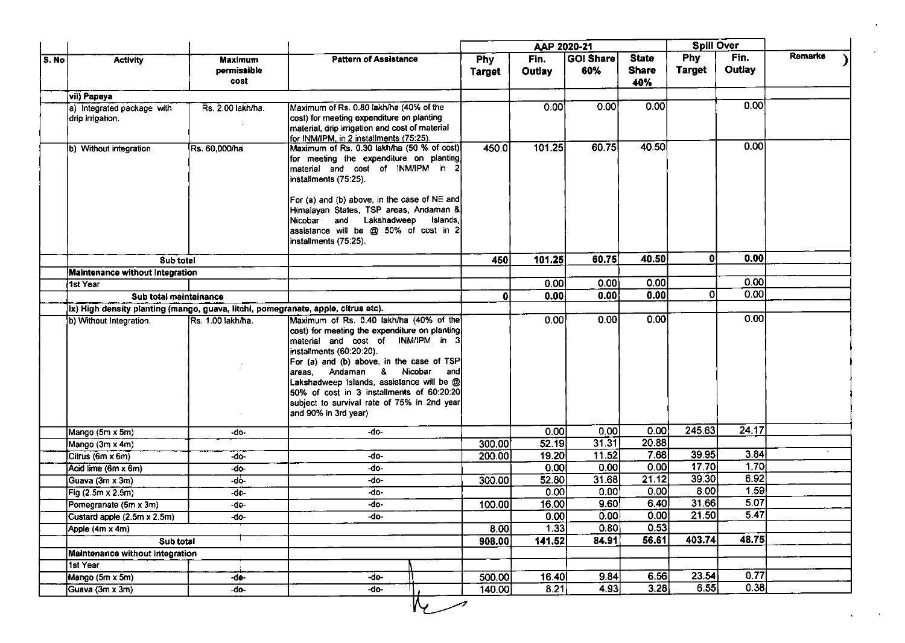|       |                                                                                   |                                       |                                                                                                                                                                                                                                                                                                                                                                                                             |                      | AAP 2020-21           |                         |                                     | <b>Spill Over</b>           |                |         |
|-------|-----------------------------------------------------------------------------------|---------------------------------------|-------------------------------------------------------------------------------------------------------------------------------------------------------------------------------------------------------------------------------------------------------------------------------------------------------------------------------------------------------------------------------------------------------------|----------------------|-----------------------|-------------------------|-------------------------------------|-----------------------------|----------------|---------|
| S. No | <b>Activity</b>                                                                   | <b>Maximum</b><br>permissible<br>cost | <b>Pattern of Assistance</b>                                                                                                                                                                                                                                                                                                                                                                                | Phy<br><b>Target</b> | Fin.<br><b>Outlay</b> | <b>GOI Share</b><br>60% | <b>State</b><br><b>Share</b><br>40% | <b>Phy</b><br><b>Target</b> | Fin.<br>Outlay | Remarks |
|       | vii) Papaya                                                                       |                                       |                                                                                                                                                                                                                                                                                                                                                                                                             |                      |                       |                         |                                     |                             |                |         |
|       | a) Integrated package with<br>drip irrigation.                                    | Rs. 2.00 lakh/ha.                     | Maximum of Rs. 0.80 lakh/ha (40% of the<br>cost) for meeting expenditure on planting<br>material, drip irrigation and cost of material<br>for INM/IPM, in 2 installments (75:25).                                                                                                                                                                                                                           |                      | 0.00                  | 0.00                    | 0.00                                |                             | 0.00           |         |
|       | b) Without integration                                                            | Rs. 60,000/ha                         | Maximum of Rs. 0.30 lakh/ha (50 % of cost)<br>for meeting the expenditure on planting<br>material and cost of INM/IPM in 2<br>installments (75.25).<br>For (a) and (b) above, in the case of NE and<br>Himalayan States, TSP areas, Andaman &<br>Nicobar and Lakshadweep Islands,<br>assistance will be @ 50% of cost in 2<br>installments (75:25).                                                         | 450.0                | 101.25                | 60.75                   | 40.50                               |                             | 0.00           |         |
|       | Sub total                                                                         |                                       |                                                                                                                                                                                                                                                                                                                                                                                                             | 450                  | 101.25                | 60.75                   | 40.50                               | ٥I                          | 0.00           |         |
|       | Maintenance without Integration                                                   |                                       |                                                                                                                                                                                                                                                                                                                                                                                                             |                      |                       |                         |                                     |                             |                |         |
|       | 1st Year                                                                          |                                       |                                                                                                                                                                                                                                                                                                                                                                                                             |                      | 0.00                  | 0.00                    | 0.00                                |                             | 0.00           |         |
|       | Sub total maintainance                                                            |                                       |                                                                                                                                                                                                                                                                                                                                                                                                             | 0                    | 0.00                  | 0.00                    | 0.00                                | οl                          | 0.00           |         |
|       | ix) High density planting (mango, guava, litchi, pomegranate, apple, citrus etc). |                                       |                                                                                                                                                                                                                                                                                                                                                                                                             |                      |                       |                         |                                     |                             |                |         |
|       | b) Without Integration.                                                           | Rs. 1.00 lakh/ha.<br>$\mathbf{L}$     | Maximum of Rs. 0.40 lakh/ha (40% of the<br>cost) for meeting the expenditure on planting<br>material and cost of INM/IPM in 3<br>installments (60:20:20).<br>For (a) and (b) above, in the case of TSP<br>areas, Andaman & Nicobar<br>andl<br>Lakshadweep Islands, assistance will be @<br>50% of cost in 3 installments of 60:20:20<br>subject to survival rate of 75% in 2nd year<br>and 90% in 3rd year) |                      | 0.00                  | 0.00                    | 0.00                                |                             | 0.00           |         |
|       | Mango (5m x 5m)                                                                   | -do-                                  | $-do-$                                                                                                                                                                                                                                                                                                                                                                                                      |                      | 0.00                  | 0.00                    | 0.00                                | 245.63                      | 24.17          |         |
|       | Mango (3m x 4m)                                                                   |                                       |                                                                                                                                                                                                                                                                                                                                                                                                             | 300.00               | 52.19                 | 31.31                   | 20.88                               |                             |                |         |
|       | Citrus (6m x 6m)                                                                  | -do-                                  | -do-                                                                                                                                                                                                                                                                                                                                                                                                        | 200.00               | 19.20                 | 11.52                   | 7.68                                | 39.95                       | 3.84           |         |
|       | Acid lime (6m x 6m)                                                               | -do-                                  | -do-                                                                                                                                                                                                                                                                                                                                                                                                        |                      | 0.00                  | 0.00                    | 0.00                                | 17.70                       | 1.70           |         |
|       | Guava (3m x 3m)                                                                   | -do-                                  | -do-                                                                                                                                                                                                                                                                                                                                                                                                        | 300.00               | 52.80                 | 31.68                   | 21.12                               | 39.30                       | 6.92           |         |
|       | Fig (2.5m x 2.5m)                                                                 | -do-                                  | -do-                                                                                                                                                                                                                                                                                                                                                                                                        |                      | 0.00                  | 0.00                    | 0.00                                | 8.00                        | 1,59           |         |
|       | Pomegranate (5m x 3m)                                                             | -do-                                  | -do-                                                                                                                                                                                                                                                                                                                                                                                                        | 100.00               | 16.00                 | 9.60                    | 6.40                                | 31.66                       | 5.07           |         |
|       | Custard apple (2.5m x 2.5m)                                                       | $-do$                                 | -do-                                                                                                                                                                                                                                                                                                                                                                                                        |                      | [0.00]                | 0.00                    | $\overline{0.00}$                   | $\overline{21.50}$          | 5.47           |         |
|       | Apple (4m x 4m)                                                                   |                                       |                                                                                                                                                                                                                                                                                                                                                                                                             | 8.00                 | 1.33                  | 0.80                    | 0.53                                |                             |                |         |
|       | Sub total                                                                         |                                       |                                                                                                                                                                                                                                                                                                                                                                                                             | 908.00               | 141.52                | 84.91                   | 56.61                               | 403.74                      | 48.75          |         |
|       | Maintenance without Integration                                                   |                                       |                                                                                                                                                                                                                                                                                                                                                                                                             |                      |                       |                         |                                     |                             |                |         |
|       | 1st Year                                                                          |                                       |                                                                                                                                                                                                                                                                                                                                                                                                             |                      |                       |                         |                                     |                             |                |         |
|       | Mango (5m x 5m)                                                                   | $-d0-$                                | $-do-$                                                                                                                                                                                                                                                                                                                                                                                                      | 500.00               | 16.40                 | 9.84                    | 6.56                                | $\overline{23.54}$          | 0.77           |         |
|       | Guava (3m x 3m)                                                                   | -do-                                  | -do-                                                                                                                                                                                                                                                                                                                                                                                                        | 140.00               | 8.21                  | 4.93                    | 3.28                                | 6.55                        | 0.38           |         |
|       |                                                                                   |                                       |                                                                                                                                                                                                                                                                                                                                                                                                             |                      |                       |                         |                                     |                             |                |         |

 $\bullet$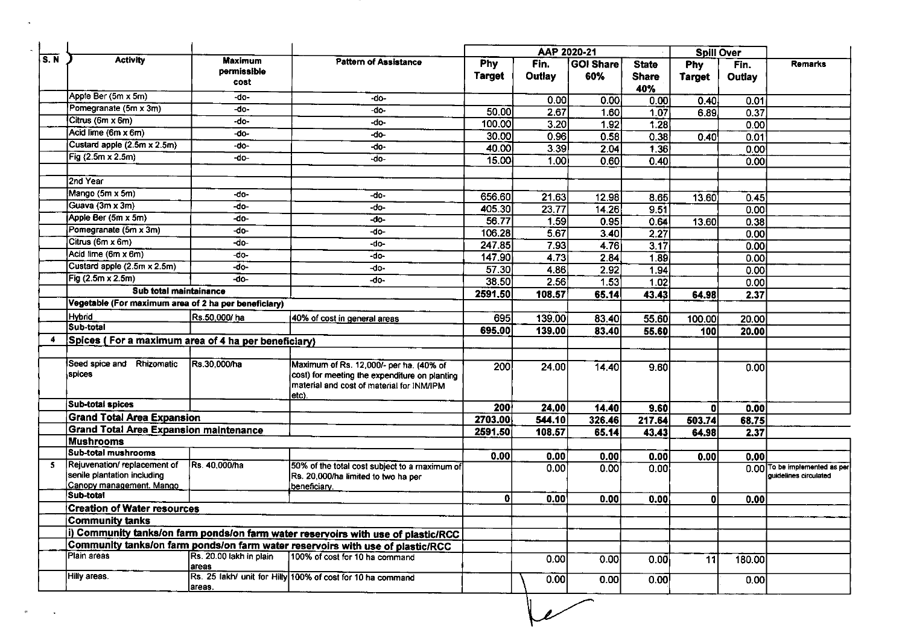|     |                                                                                        |                                       |                                                                                                                                       | AAP 2020-21          |                  |                  | <b>Spill Over</b>                   |                             |                       |                                                        |
|-----|----------------------------------------------------------------------------------------|---------------------------------------|---------------------------------------------------------------------------------------------------------------------------------------|----------------------|------------------|------------------|-------------------------------------|-----------------------------|-----------------------|--------------------------------------------------------|
| S.N | <b>Activity</b>                                                                        | <b>Maximum</b><br>permissible<br>cost | <b>Pattern of Assistance</b>                                                                                                          | Phy<br><b>Target</b> | Fin.<br>Outlay   | GOI Share<br>60% | <b>State</b><br><b>Share</b><br>40% | <b>Phy</b><br><b>Target</b> | Fin.<br><b>Outlay</b> | Remarks                                                |
|     | Apple Ber (5m x 5m)                                                                    | -do-                                  | -do-                                                                                                                                  |                      | 0.00             | 0.00             | 0.00                                | 0.40                        | 0.01                  |                                                        |
|     | Pomegranate (5m x 3m)                                                                  | -do-                                  | -do-                                                                                                                                  | 50.00                | 2.67             | 1.60             | 1.07                                | 6.89                        | 0.37                  |                                                        |
|     | Citrus (6m x 6m)                                                                       | -do-                                  | -do-                                                                                                                                  | 100.00               | 3.20             | 1.92             | 1.28                                |                             | 0.00                  |                                                        |
|     | Acid lime (6m x 6m)                                                                    | -do-                                  | -do-                                                                                                                                  | 30.00                | 0.96             | 0.58             | 0.38                                | 0.40                        | 0.01                  |                                                        |
|     | Custard apple (2.5m x 2.5m)                                                            | $-do-$                                | -do-                                                                                                                                  | 40.00                | 3.39             | 2.04             | 1.36                                |                             | 0.00                  |                                                        |
|     | Fig (2.5m x 2.5m)                                                                      | -do-                                  | -do-                                                                                                                                  | 15.00                | 1.00             | 0.60             | 0.40                                |                             | 0.00                  |                                                        |
|     | 2nd Year                                                                               |                                       |                                                                                                                                       |                      |                  |                  |                                     |                             |                       |                                                        |
|     | Mango (5m x 5m)                                                                        | -do-                                  | -do-                                                                                                                                  | 656.60               | 21.63            | 12.98            | 8.65                                | 13.60                       | 0.45                  |                                                        |
|     | Guava (3m x 3m)                                                                        | -do-                                  | -do-                                                                                                                                  | 405.30               | 23.77            | 14.26            | 9.51                                |                             | $\overline{0.00}$     |                                                        |
|     | Apple Ber (5m x 5m)                                                                    | -do-                                  | -do-                                                                                                                                  | 56.77                | 1.59             | 0.95             | 0.64                                | 13.60                       | 0.38                  |                                                        |
|     | Pomegranate (5m x 3m)                                                                  | -do-                                  | -do-                                                                                                                                  | 106.28               | 5.67             | 3.40             | 2.27                                |                             | 0.00                  |                                                        |
|     | Citrus (6m x 6m)                                                                       | -do-                                  | -do-                                                                                                                                  | 247.85               | 7.93             | 4.76             | 3.17                                |                             | 0.00                  |                                                        |
|     | Acid lime (6m x 6m)                                                                    | $-do-$                                | $-do-$                                                                                                                                | 147.90               | 4.73             | 2.84             | 1.89                                |                             | 0.00                  |                                                        |
|     | Custard apple (2.5m x 2.5m)                                                            | -do-                                  | -do-                                                                                                                                  | $\overline{57.30}$   | 486              | 2.92             | 1.94                                |                             | 0.00                  |                                                        |
|     | Fig (2.5m x 2.5m)                                                                      | $\overline{40}$                       | -do-                                                                                                                                  | 38.50                | 2.56             |                  |                                     |                             |                       |                                                        |
|     | Sub total maintainance                                                                 |                                       |                                                                                                                                       |                      |                  | 1.53             | 1.02                                |                             | 0.00                  |                                                        |
|     |                                                                                        |                                       |                                                                                                                                       | 2591.50              | 108.57           | 65.14            | 43.43                               | 64.98                       | 2.37                  |                                                        |
|     | Vegetable (For maximum area of 2 ha per beneficiary)                                   |                                       |                                                                                                                                       |                      |                  |                  |                                     |                             |                       |                                                        |
|     |                                                                                        |                                       |                                                                                                                                       |                      |                  |                  |                                     |                             |                       |                                                        |
|     | <b>Hybrid</b><br>Sub-total<br>Spices (For a maximum area of 4 ha per beneficiary)      | Rs.50,000/ ha                         | 40% of cost in general areas                                                                                                          | 695<br>695.00        | 139.00<br>139.00 | 83.40<br>83.40   | 55.60<br>55.60                      | 100.00<br>100               | 20.00<br>20.00        |                                                        |
|     | Seed spice and Rhizomatic<br>spices                                                    | Rs.30.000/ha                          | Maximum of Rs. 12,000/- per ha. (40% of<br>cost) for meeting the expenditure on planting<br>material and cost of material for INM/IPM | 200                  | 24.00            | 14.40            | 9.60                                |                             | 0.00                  |                                                        |
|     | <b>Sub-total spices</b>                                                                |                                       | letc).                                                                                                                                |                      |                  |                  |                                     |                             |                       |                                                        |
|     |                                                                                        |                                       |                                                                                                                                       | 200                  | 24.00            | 14.40            | 9.60                                | 0                           | 0.00                  |                                                        |
|     | <b>Grand Total Area Expansion</b>                                                      |                                       |                                                                                                                                       | 2703.00              | 544.10           | 326.46           | 217.64                              | 503.74                      | 68.75                 |                                                        |
|     | Grand Total Area Expansion maintenance                                                 |                                       |                                                                                                                                       | 2591.50              | 108.57           | 65.14            | 43.43                               | 64.98                       | 2.37                  |                                                        |
| 4   | <b>Mushrooms</b><br><b>Sub-total mushrooms</b>                                         |                                       |                                                                                                                                       |                      |                  |                  |                                     |                             |                       |                                                        |
|     | Rejuvenation/replacement of<br>senile plantation including<br>Canopy management. Mango | Rs. 40,000/ha                         | 50% of the total cost subject to a maximum of<br>Rs. 20,000/ha limited to two ha per<br>beneficiary.                                  | 0.00                 | 0.00<br>0.00     | 0.00<br>0.00     | 0.00<br>0.00                        | 0.00                        | 0.00                  | 0.00 To be implemented as per<br>quidelines circulated |
|     | Sub-total                                                                              |                                       |                                                                                                                                       | $\mathbf{0}$         | 0.00             | 0.00             | 0.00                                | 0                           | 0.00                  |                                                        |
|     | <b>Creation of Water resources</b>                                                     |                                       |                                                                                                                                       |                      |                  |                  |                                     |                             |                       |                                                        |
|     | <b>Community tanks</b>                                                                 |                                       |                                                                                                                                       |                      |                  |                  |                                     |                             |                       |                                                        |
|     |                                                                                        |                                       | i) Community tanks/on farm ponds/on farm water reservoirs with use of plastic/RCC                                                     |                      |                  |                  |                                     |                             |                       |                                                        |
|     |                                                                                        |                                       | Community tanks/on farm ponds/on farm water reservoirs with use of plastic/RCC                                                        |                      |                  |                  |                                     |                             |                       |                                                        |
| 5.  | Plain areas<br>Hilly areas.                                                            | Rs. 20.00 lakh in plain<br>areas      | 100% of cost for 10 ha command<br>Rs. 25 lakh/ unit for Hilly 100% of cost for 10 ha command                                          |                      | 0.00             | 0.00             | 0.00                                | 11                          | 180.00                |                                                        |

 $\langle \sigma \rangle$ 

 $\pmb{\theta}$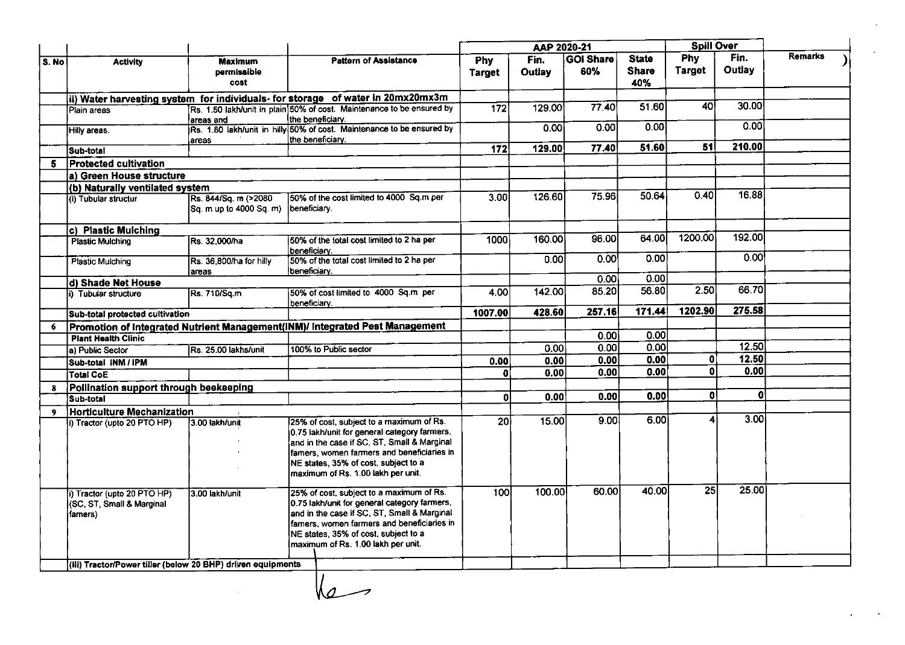|       |                                                             |                           |                     |                                                                                 |                  | AAP 2020-21 |                  |              | <b>Spill Over</b> |        |                |
|-------|-------------------------------------------------------------|---------------------------|---------------------|---------------------------------------------------------------------------------|------------------|-------------|------------------|--------------|-------------------|--------|----------------|
| S. No | <b>Activity</b>                                             | <b>Maximum</b>            |                     | <b>Pattern of Assistance</b>                                                    | <b>Phy</b>       | Fin.        | <b>GOI Share</b> | <b>State</b> | Phy               | Fin.   | <b>Remarks</b> |
|       |                                                             | permissible               |                     |                                                                                 | <b>Target</b>    | Outlay      | 60%              | <b>Share</b> | <b>Target</b>     | Outlay |                |
|       |                                                             | cost                      |                     |                                                                                 |                  |             |                  | 40%          |                   |        |                |
|       |                                                             |                           |                     | ii) Water harvesting system for individuals- for storage of water in 20mx20mx3m |                  |             |                  |              |                   |        |                |
|       | Plain areas                                                 |                           |                     | Rs. 1.50 lakh/unit in plain 50% of cost. Maintenance to be ensured by           | $\overline{172}$ | 129.00      | 77.40            | 51.60        | 40                | 30.00  |                |
|       |                                                             | lareas and                |                     | the beneficiary.                                                                |                  |             |                  |              |                   |        |                |
|       | Hilly areas.                                                |                           |                     | Rs. 1.80 lakh/unit in hilly 50% of cost. Maintenance to be ensured by           |                  | 0.00        | 0.00             | 0.00         |                   | 0.00   |                |
|       |                                                             | lareas                    |                     | the beneficiary.                                                                |                  |             |                  |              |                   |        |                |
|       | Sub-total                                                   |                           |                     |                                                                                 | $\overline{172}$ | 129.00      | 77.40            | 51.60        | 51                | 210.00 |                |
| 5.    | <b>Protected cultivation</b>                                |                           |                     |                                                                                 |                  |             |                  |              |                   |        |                |
|       | la) Green House structure                                   |                           |                     |                                                                                 |                  |             |                  |              |                   |        |                |
|       | (b) Naturally ventilated system                             |                           |                     |                                                                                 |                  |             |                  |              |                   |        |                |
|       | (i) Tubular structur                                        | Rs. 844/Sq. m (>2080      |                     | 150% of the cost limited to 4000 Sq.m per                                       | 3.00             | 126.60      | 75.96            | 50.64        | 0.40              | 16.88  |                |
|       |                                                             | lSa. m up to 4000 Sq. m). | <b>Ibeneficiary</b> |                                                                                 |                  |             |                  |              |                   |        |                |
|       |                                                             |                           |                     |                                                                                 |                  |             |                  |              |                   |        |                |
|       | c) Plastic Mulching                                         |                           |                     |                                                                                 |                  |             |                  |              |                   |        |                |
|       | <b>Plastic Mulching</b>                                     | Rs. 32,000/ha             |                     | 150% of the total cost limited to 2 ha per                                      | 1000             | 160.00      | 96.00            | 64.00        | 1200.00           | 192.00 |                |
|       |                                                             |                           | beneficiary.        |                                                                                 |                  |             |                  |              |                   |        |                |
|       | <b>Plastic Mulching</b>                                     | Rs. 36,800/ha for hilly   |                     | 50% of the total cost limited to 2 ha per                                       |                  | 0.001       | 0.00             | 0.00         |                   | 0.001  |                |
|       |                                                             | lareas                    | beneficiary.        |                                                                                 |                  |             |                  | 0.00         |                   |        |                |
|       | d) Shade Net House                                          |                           |                     |                                                                                 |                  |             | 0.001            |              | 2.50              | 66.70  |                |
|       | i) Tubular structure                                        | Rs. 710/Sq.m              |                     | 50% of cost limited to 4000 Sq.m per                                            | 4.00             | 142.00      | 85.20            | 56.80        |                   |        |                |
|       |                                                             |                           | beneficiary.        |                                                                                 | 1007.00          | 428.60      | 257.16           | 171.44       | 1202.90           | 275.58 |                |
|       | Sub-total protected cultivation                             |                           |                     |                                                                                 |                  |             |                  |              |                   |        |                |
| 6     |                                                             |                           |                     | Promotion of Integrated Nutrient Management(INM)/ Integrated Pest Management    |                  |             | 0.00             | 0.00         |                   |        |                |
|       | <b>Plant Health Clinic</b>                                  |                           |                     |                                                                                 |                  |             |                  |              |                   | 12.50  |                |
|       | a) Public Sector                                            | Rs. 25.00 lakhs/unit      |                     | 100% to Public sector                                                           |                  | 0.00        | 0.00             | 0.00         |                   | 12.50  |                |
|       | Sub-total INM / IPM                                         |                           |                     |                                                                                 | 0.00             | 0.00        | 0.00             | 0.00         | ٥I                |        |                |
|       | <b>Total CoE</b>                                            |                           |                     |                                                                                 | O                | 0.00        | 0.00             | 0.00         | ol                | 0.00   |                |
| 8     | Pollination support through beekeeping                      |                           |                     |                                                                                 |                  |             |                  |              |                   |        |                |
|       | Sub-total                                                   |                           |                     |                                                                                 | ΩI               | 0.00        | 0.00             | 0.00         | o١                | 0      |                |
| 9     | <b>Horticulture Mechanization</b>                           |                           |                     |                                                                                 |                  |             |                  |              |                   |        |                |
|       | i) Tractor (upto 20 PTO HP)                                 | 3.00 lakh/unit            |                     | 25% of cost, subject to a maximum of Rs.                                        | 20 <sub>2</sub>  | 15.00       | 9.00             | 6.00         | 4                 | 3.00   |                |
|       |                                                             |                           |                     | 0.75 lakh/unit for general category farmers,                                    |                  |             |                  |              |                   |        |                |
|       |                                                             |                           |                     | and in the case if SC, ST, Small & Marginal                                     |                  |             |                  |              |                   |        |                |
|       |                                                             |                           |                     | famers, women farmers and beneficiaries in                                      |                  |             |                  |              |                   |        |                |
|       |                                                             |                           |                     | NE states, 35% of cost, subject to a                                            |                  |             |                  |              |                   |        |                |
|       |                                                             |                           |                     | maximum of Rs. 1.00 lakh per unit.                                              |                  |             |                  |              |                   |        |                |
|       |                                                             |                           |                     | 25% of cost, subject to a maximum of Rs.                                        | 100              | 100.00      | 60.00            | 40.00        | 25                | 25.00  |                |
|       | i) Tractor (upto 20 PTO HP)<br>(SC, ST, Small & Marginal    | I3.00 lakh/unit           |                     | 0.75 lakh/unit for general category farmers,                                    |                  |             |                  |              |                   |        |                |
|       | famers)                                                     |                           |                     | and in the case if SC, ST, Small & Marginal                                     |                  |             |                  |              |                   |        |                |
|       |                                                             |                           |                     | famers, women farmers and beneficiaries in                                      |                  |             |                  |              |                   |        |                |
|       |                                                             |                           |                     | NE states, 35% of cost, subject to a                                            |                  |             |                  |              |                   |        |                |
|       |                                                             |                           |                     | maximum of Rs. 1.00 lakh per unit.                                              |                  |             |                  |              |                   |        |                |
|       |                                                             |                           |                     |                                                                                 |                  |             |                  |              |                   |        |                |
|       | (iii) Tractor/Power tiller (below 20 BHP) driven equipments |                           |                     |                                                                                 |                  |             |                  |              |                   |        |                |

 $\sqrt{2}$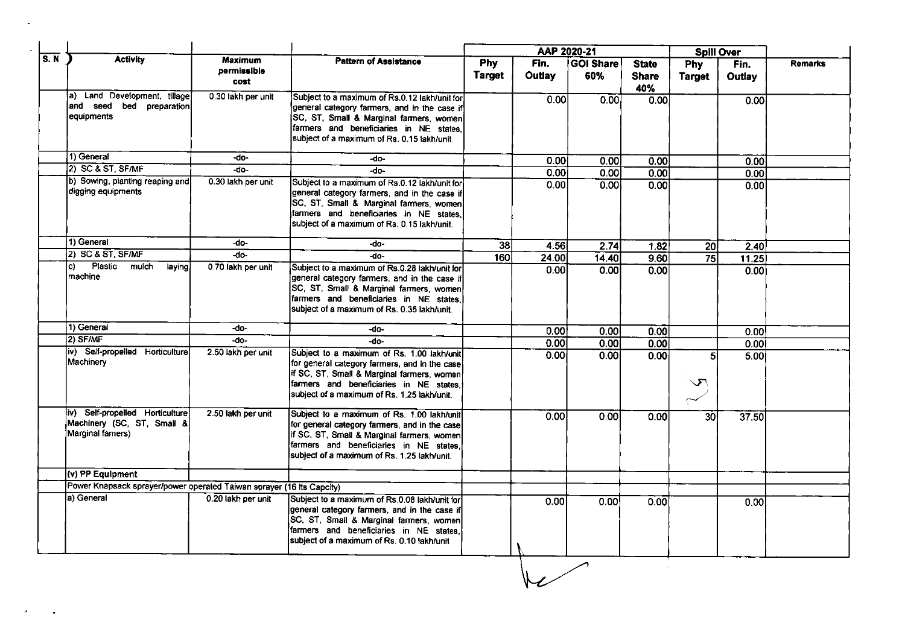|     |                                                                                   |                                       |                                                                                                                                                                                                                                     |                      | AAP 2020-21    |                         |                                     | <b>Spill Over</b>    |                |                |
|-----|-----------------------------------------------------------------------------------|---------------------------------------|-------------------------------------------------------------------------------------------------------------------------------------------------------------------------------------------------------------------------------------|----------------------|----------------|-------------------------|-------------------------------------|----------------------|----------------|----------------|
| S.N | <b>Activity</b>                                                                   | <b>Maximum</b><br>permissible<br>cost | <b>Pattern of Assistance</b>                                                                                                                                                                                                        | Phy<br><b>Target</b> | Fin.<br>Outlay | <b>GOI Share</b><br>60% | <b>State</b><br><b>Share</b><br>40% | Phy<br><b>Target</b> | Fin.<br>Outlay | <b>Remarks</b> |
|     | a) Land Development, tillage<br>and seed bed preparation<br>equipments            | 0.30 lakh per unit                    | Subject to a maximum of Rs.0.12 lakh/unit for<br>general category farmers, and in the case if<br>SC, ST, Small & Marginal farmers, women<br>farmers and beneficiaries in NE states,<br>subject of a maximum of Rs. 0.15 lakh/unit.  |                      | 0.00           | 0.00                    | 0.00                                |                      | 0.00           |                |
|     | 1) General                                                                        | -do-                                  | -do-                                                                                                                                                                                                                                |                      | 0.001          | 0.00                    | 0.00                                |                      | 0.00           |                |
|     | $ 2\rangle$ SC & ST, SF/MF                                                        | -do-                                  | $-$ do $-$                                                                                                                                                                                                                          |                      | 0.00           | 0.00                    | 0.00                                |                      | 0.00           |                |
|     | b) Sowing, planting reaping and<br>digging equipments                             | 0.30 lakh per unit                    | Subject to a maximum of Rs.0.12 lakh/unit for<br>general category farmers, and in the case if<br>SC, ST, Small & Marginal farmers, women<br>farmers and beneficiaries in NE states.<br>subject of a maximum of Rs. 0.15 lakh/unit.  |                      | 0.00           | 0.00                    | 0.00                                |                      | 0.00           |                |
|     | 1) General                                                                        | -do-                                  | -do-                                                                                                                                                                                                                                | $\overline{38}$      | 4.56           | 2.74                    | 1.82                                | 20                   | 2.40           |                |
|     | 2) SC & ST, SF/MF                                                                 | -do-                                  | $-do-$                                                                                                                                                                                                                              | 160                  | 24.00          | 14.40                   | 9.60                                | $\overline{75}$      | 11.25          |                |
|     | Plastic<br>mulch<br>C)<br>laying.<br>machine                                      | 0.70 lakh per unit                    | Subject to a maximum of Rs.0.28 lakh/unit for<br>general category farmers, and in the case if<br>SC, ST, Small & Marginal farmers, women<br>farmers and beneficiaries in NE states.<br>subject of a maximum of Rs. 0.35 lakh/unit.  |                      | 0.00           | 0.00                    | 0.00                                |                      | 0.00           |                |
|     | 1) General                                                                        | -do-                                  | -do-                                                                                                                                                                                                                                |                      | 0.001          | 0.00                    | 0.00                                |                      | 0.00           |                |
|     | 2) SF/MF                                                                          | -do-                                  | -do-                                                                                                                                                                                                                                |                      | 0.00           | 0.00                    | 0.00                                |                      | 0.001          |                |
|     | (iv) Self-propelled Horticulture<br>Machinery                                     | 2.50 lakh per unit                    | Subject to a maximum of Rs. 1.00 lakh/unit<br>for general category farmers, and in the case<br>if SC, ST, Small & Marginal farmers, women<br>farmers and beneficiaries in NE states,<br>subject of a maximum of Rs. 1.25 lakh/unit. |                      | 0.00           | 0.00                    | 0.00                                | 51<br>$\sqrt{ }$     | 5.00           |                |
|     | iv) Self-propelled Horticulture<br>Machinery (SC, ST, Small &<br>Marginal famers) | 2.50 lakh per unit                    | Subject to a maximum of Rs. 1.00 lakh/unit<br>for general category farmers, and in the case<br>If SC, ST, Small & Marginal farmers, women<br>farmers and beneficiaries in NE states,<br>subject of a maximum of Rs. 1.25 lakh/unit. |                      | 0.00           | 0.00                    | 0.00                                | 30 <sup>1</sup>      | 37.50          |                |
|     | (v) PP Equipment                                                                  |                                       |                                                                                                                                                                                                                                     |                      |                |                         |                                     |                      |                |                |
|     | Power Knapsack sprayer/power operated Taiwan sprayer (16 lts Capcity)             |                                       |                                                                                                                                                                                                                                     |                      |                |                         |                                     |                      |                |                |
|     | la) General                                                                       | 0.20 lakh per unit                    | Subject to a maximum of Rs.0.08 lakh/unit for<br>general category farmers, and in the case if<br>SC, ST, Small & Marginal farmers, women<br>farmers and beneficiaries in NE states,<br>subject of a maximum of Rs. 0.10 lakh/unit   |                      | 0.00           | 0.00                    | 0.00                                |                      | 0.00           |                |

 $\mathcal{O}(\mathcal{O}_\mathcal{O})$  . The set of  $\mathcal{O}_\mathcal{O}(\mathcal{O}_\mathcal{O})$ 

 $\mathfrak{t}^\bullet$  $\sim 100$  km s  $^{-1}$ 

 $\overline{\phantom{a}}$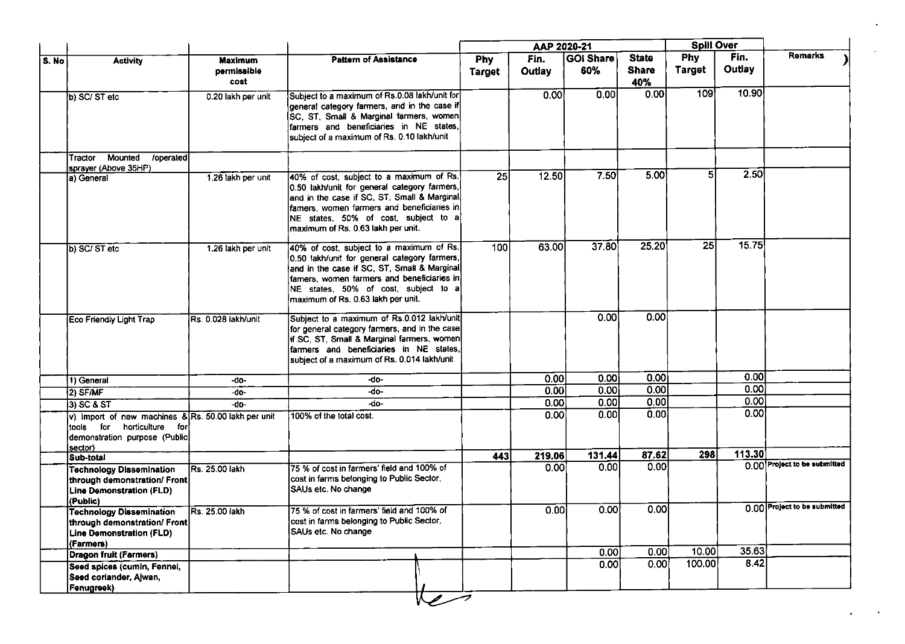|       |                                                                                                                                  |                     |                                                                                                                                                                                                                                                                     |                 | AAP 2020-21 |                  |                     | <b>Spill Over</b> |        |                              |
|-------|----------------------------------------------------------------------------------------------------------------------------------|---------------------|---------------------------------------------------------------------------------------------------------------------------------------------------------------------------------------------------------------------------------------------------------------------|-----------------|-------------|------------------|---------------------|-------------------|--------|------------------------------|
| S. No | <b>Activity</b>                                                                                                                  | <b>Maximum</b>      | <b>Pattern of Assistance</b>                                                                                                                                                                                                                                        | <b>Phy</b>      | Fin.        | <b>GOI Share</b> | <b>State</b>        | <b>Phy</b>        | Fin.   | Remarks                      |
|       |                                                                                                                                  | permissible<br>cost |                                                                                                                                                                                                                                                                     | <b>Target</b>   | Outlay      | 60%              | <b>Share</b><br>40% | <b>Target</b>     | Outlay |                              |
|       | b) SC/ ST etc                                                                                                                    | 0.20 lakh per unit  | Subject to a maximum of Rs.0.08 lakh/unit for<br>general category farmers, and in the case if<br>SC, ST, Small & Marginal farmers, women<br>farmers and beneficiaries in NE states,<br>subject of a maximum of Rs. 0.10 lakh/unit                                   |                 | 0.00        | 0.00             | 0.00                | 109               | 10.90  |                              |
|       | Mounted /operated<br>Tractor<br>sprayer (Above 35HP)                                                                             |                     |                                                                                                                                                                                                                                                                     |                 |             |                  |                     |                   |        |                              |
|       | a) General                                                                                                                       | 1.26 lakh per unit  | 40% of cost, subject to a maximum of Rs.<br>0.50 lakh/unit for general category farmers,<br>and in the case if SC, ST, Small & Marginal<br>famers, women farmers and beneficiaries in<br>NE states, 50% of cost, subject to a<br>maximum of Rs. 0.63 lakh per unit. | $\overline{25}$ | 12.50       | 7.50             | 5.00                | 5 <sub>l</sub>    | 2.50   |                              |
|       | b) SC/ST etc                                                                                                                     | 1.26 lakh per unit  | 40% of cost, subject to a maximum of Rs.<br>0.50 lakh/unit for general category farmers,<br>and in the case if SC, ST, Small & Marginal<br>famers, women farmers and beneficiaries in<br>NE states, 50% of cost, subject to a<br>maximum of Rs. 0.63 lakh per unit. | 100             | 63.00       | 37.80            | 25.20               | 25                | 15.75  |                              |
|       | Eco Friendly Light Trap                                                                                                          | Rs. 0.028 lakh/unit | Subject to a maximum of Rs.0.012 lakh/unit<br>for general category farmers, and in the case<br>If SC, ST, Small & Marginal farmers, women<br>farmers and beneficiaries in NE states,<br>subject of a maximum of Rs. 0.014 lakh/unit                                 |                 |             | 0.00             | 0.00                |                   |        |                              |
|       | 1) General                                                                                                                       | -do-                | -do-                                                                                                                                                                                                                                                                |                 | 0.00        | 0.00             | 0.00                |                   | 0.00   |                              |
|       | 2) SF/MF                                                                                                                         | -do-                | -do-                                                                                                                                                                                                                                                                |                 | 0.00        | 0.00             | 0.00                |                   | 0.00   |                              |
|       | 3) SC & ST                                                                                                                       | -do-                | -do-                                                                                                                                                                                                                                                                |                 | 0.00        | 0.00             | 0.00                |                   | 0.00   |                              |
|       | v) Import of new machines & Rs. 50.00 lakh per unit<br>horticulture for<br>tools for<br>demonstration purpose (Public<br>sector) |                     | 100% of the total cost.                                                                                                                                                                                                                                             |                 | 0.00        | 0.00             | 0.00                |                   | 0.00   |                              |
|       | Sub-total                                                                                                                        |                     |                                                                                                                                                                                                                                                                     | 443             | 219.06      | 131.44           | 87.62               | 298               | 113.30 |                              |
|       | <b>Technology Dissemination</b><br>through demonstration/ Front<br><b>Line Demonstration (FLD)</b><br>(Public)                   | Rs. 25.00 lakh      | 75 % of cost in farmers' field and 100% of<br>cost in farms belonging to Public Sector,<br>SAUs etc. No change                                                                                                                                                      |                 | 0.00        | 0.00             | 0.00                |                   |        | 0.00 Project to be submitted |
|       | <b>Technology Dissemination</b><br>through demonstration/ Front<br><b>Line Demonstration (FLD)</b><br>(Farmers)                  | lRs. 25.00 lakh     | 75 % of cost in farmers' field and 100% of<br>cost in farms belonging to Public Sector,<br><b>ISAUs etc. No change</b>                                                                                                                                              |                 | 0.00        | 0.00             | 0.00                |                   |        | 0.00 Project to be submitted |
|       | <b>Dragon fruit (Farmers)</b>                                                                                                    |                     |                                                                                                                                                                                                                                                                     |                 |             | 0.00             | 0.00                | 10.00             | 35.63  |                              |
|       | Seed spices (cumin, Fennel,<br>Seed coriander, Ajwan,<br>Fenugreek)                                                              |                     |                                                                                                                                                                                                                                                                     |                 |             | 0.00             | 0.00                | 100.00            | 8.42   |                              |

 $\sim$ 

 $\mathcal{A}^{\pm}$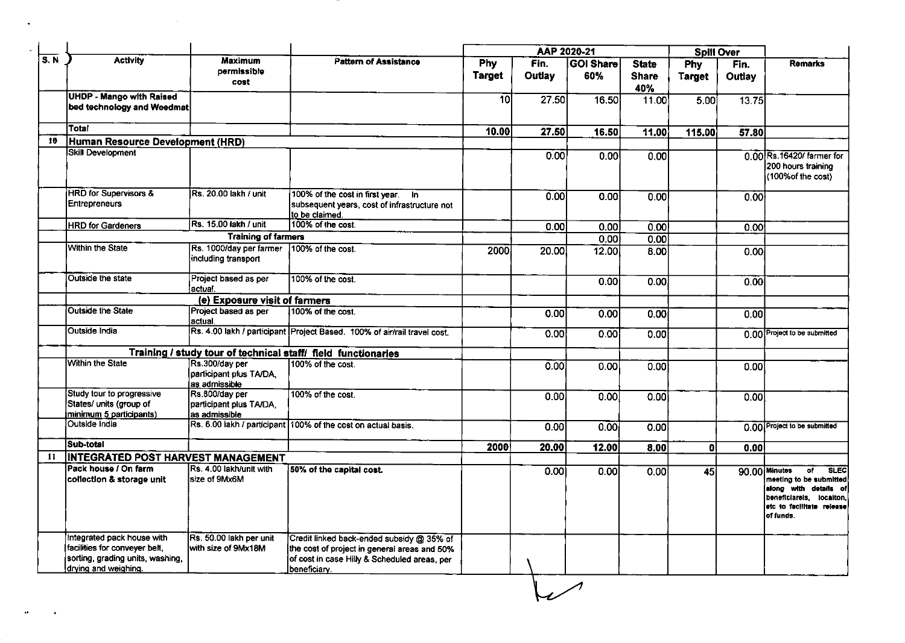|                    |                                                                                                                         |                                                            |                                                                                                                                                           |               | AAP 2020-21 |                  |                     | <b>Spill Over</b> |               |                                                                                                                                                               |
|--------------------|-------------------------------------------------------------------------------------------------------------------------|------------------------------------------------------------|-----------------------------------------------------------------------------------------------------------------------------------------------------------|---------------|-------------|------------------|---------------------|-------------------|---------------|---------------------------------------------------------------------------------------------------------------------------------------------------------------|
| $\overline{s}$ . N | <b>Activity</b>                                                                                                         | <b>Maximum</b>                                             | <b>Pattern of Assistance</b>                                                                                                                              | Phy           | Fin.        | <b>GOI Share</b> | <b>State</b>        | Phy               | Fin.          | <b>Remarks</b>                                                                                                                                                |
|                    |                                                                                                                         | permissible<br>cost                                        |                                                                                                                                                           | <b>Target</b> | Outlay      | 60%              | <b>Share</b><br>40% | <b>Target</b>     | <b>Outlay</b> |                                                                                                                                                               |
|                    | <b>UHDP - Mango with Raised</b><br>bed technology and Weedmat                                                           |                                                            |                                                                                                                                                           | 10            | 27.50       | 16.50            | 11.00               | 5.00              | 13.75         |                                                                                                                                                               |
|                    | Total                                                                                                                   |                                                            |                                                                                                                                                           | 10.00         | 27.50       | 16.50            | 11.00               | 115.00            | 57.80         |                                                                                                                                                               |
| 10                 | Human Resource Development (HRD)                                                                                        |                                                            |                                                                                                                                                           |               |             |                  |                     |                   |               |                                                                                                                                                               |
|                    | Skill Development                                                                                                       |                                                            |                                                                                                                                                           |               | 0.00        | 0.00             | 0.00                |                   |               | 0.00 Rs. 16420/ farmer for<br>200 hours training<br>(100% of the cost)                                                                                        |
|                    | <b>HRD</b> for Supervisors &<br><b>Entrepreneurs</b>                                                                    | Rs. 20.00 lakh / unit                                      | 100% of the cost in first year. In<br>subsequent years, cost of infrastructure not<br>to be claimed.                                                      |               | 0.00        | 0.00             | 0.00                |                   | 0.00          |                                                                                                                                                               |
|                    | <b>HRD</b> for Gardeners                                                                                                | Rs. 15.00 lakh / unit                                      | 100% of the cost.                                                                                                                                         |               | 0.00        | 0.00             | 0.00                |                   | 0.00          |                                                                                                                                                               |
|                    |                                                                                                                         | <b>Training of farmers</b>                                 |                                                                                                                                                           |               |             | 0.00             | 0.00                |                   |               |                                                                                                                                                               |
|                    | Within the State                                                                                                        | Rs. 1000/day per farmer<br>including transport             | 100% of the cost.                                                                                                                                         | 2000          | 20.00       | 12.00            | 8.00                |                   | 0.00          |                                                                                                                                                               |
|                    | Outside the state                                                                                                       | Project based as per<br>lactual.                           | 100% of the cost.                                                                                                                                         |               |             | 0.00             | 0.00                |                   | 0.00          |                                                                                                                                                               |
|                    |                                                                                                                         | (e) Exposure visit of farmers                              |                                                                                                                                                           |               |             |                  |                     |                   |               |                                                                                                                                                               |
|                    | Outside the State                                                                                                       | Project based as per<br>lactual.                           | 100% of the cost.                                                                                                                                         |               | 0.00        | 0.00             | 0.00                |                   | 0.00          |                                                                                                                                                               |
|                    | Outside India                                                                                                           |                                                            | Rs. 4.00 lakh / participant Project Based. 100% of air/rail travel cost.                                                                                  |               | 0.00        | 0.00             | 0.00                |                   |               | 0.00 Project to be submitted                                                                                                                                  |
|                    |                                                                                                                         |                                                            | Training / study tour of technical staff/ field functionaries                                                                                             |               |             |                  |                     |                   |               |                                                                                                                                                               |
|                    | <b>Within the State</b>                                                                                                 | Rs.300/day per<br>participant plus TA/DA,<br>as admissible | 100% of the cost.                                                                                                                                         |               | 0.00        | 0.00             | 0.00                |                   | 0.00          |                                                                                                                                                               |
|                    | Study tour to progressive<br>States/ units (group of<br>minimum 5 participants)                                         | Rs.800/day per<br>participant plus TA/DA,<br>as admissible | 100% of the cost.                                                                                                                                         |               | 0.00        | 0.00             | 0.00                |                   | 0.00          |                                                                                                                                                               |
|                    | Outside India                                                                                                           |                                                            | Rs. 6.00 lakh / participant 100% of the cost on actual basis.                                                                                             |               | 0.00        | 0.00             | 0.00                |                   |               | 0.00 Project to be submitted                                                                                                                                  |
|                    | Sub-total                                                                                                               |                                                            |                                                                                                                                                           | 2000          | 20.00       | 12.00            | 8.00                | 0l                | 0.00          |                                                                                                                                                               |
| 11                 | <b>INTEGRATED POST HARVEST MANAGEMENT</b>                                                                               |                                                            |                                                                                                                                                           |               |             |                  |                     |                   |               |                                                                                                                                                               |
|                    | Pack house / On farm<br>collection & storage unit                                                                       | Rs. 4.00 lakh/unit with<br>size of 9Mx6M                   | 50% of the capital cost.                                                                                                                                  |               | 0.00        | 0.00             | 0.00                | 45                |               | of.<br><b>SLEC</b><br>90.00 Minutes<br>meeting to be submitted<br>along with details of<br>beneficiarels, locaiton,<br>etc to facilitate release<br>or runas. |
|                    | Integrated pack house with<br>facilities for conveyer belt,<br>sorting, grading units, washing,<br>drying and weighing. | Rs. 50.00 lakh per unit<br>with size of 9Mx18M             | Credit linked back-ended subsidy @ 35% of<br>the cost of project in general areas and 50%<br>of cost in case Hilly & Scheduled areas, per<br>beneficiary. |               |             |                  |                     |                   |               |                                                                                                                                                               |

and the con-

 $\mathcal{L}^{\mathcal{L}}(\mathcal{L}^{\mathcal{L}})$  and  $\mathcal{L}^{\mathcal{L}}(\mathcal{L}^{\mathcal{L}})$  . The contribution of  $\mathcal{L}^{\mathcal{L}}$ 

 $\mathcal{A}(\mathcal{A})$  and  $\mathcal{A}(\mathcal{A})$  . The set of  $\mathcal{A}(\mathcal{A})$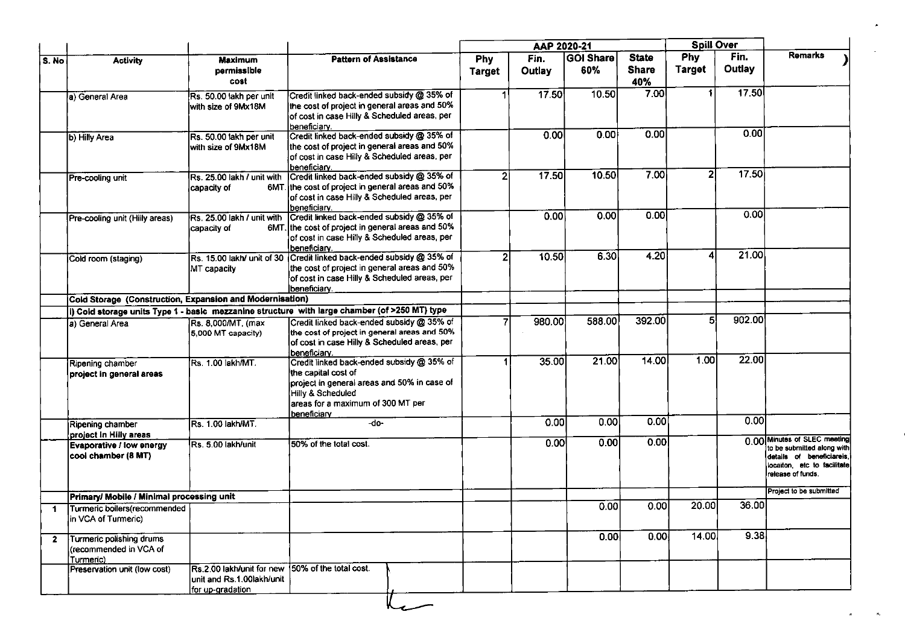|                         |                                                                 |                                                                                                   |                                                                                                                                                                                          |               | AAP 2020-21 |           |                     | <b>Spill Over</b> |                    |                                                                                                                                             |
|-------------------------|-----------------------------------------------------------------|---------------------------------------------------------------------------------------------------|------------------------------------------------------------------------------------------------------------------------------------------------------------------------------------------|---------------|-------------|-----------|---------------------|-------------------|--------------------|---------------------------------------------------------------------------------------------------------------------------------------------|
| S. No                   | <b>Activity</b>                                                 | <b>Maximum</b>                                                                                    | <b>Pattern of Assistance</b>                                                                                                                                                             | <b>Phy</b>    | Fin.        | GOI Share | <b>State</b>        | Phy               | Fin.               | Remarks                                                                                                                                     |
|                         |                                                                 | permissible<br>cost                                                                               |                                                                                                                                                                                          | <b>Target</b> | Outlay      | 60%       | <b>Share</b><br>40% | <b>Target</b>     | Outlay             |                                                                                                                                             |
|                         | a) General Area                                                 | Rs. 50.00 lakh per unit<br>with size of 9Mx18M                                                    | Credit linked back-ended subsidy @ 35% of<br>the cost of project in general areas and 50%<br>of cost in case Hilly & Scheduled areas, per<br>beneficiary.                                |               | 17.50       | 10.50     | 7.00                |                   | 17.50              |                                                                                                                                             |
|                         | b) Hilly Area                                                   | Rs. 50.00 lakh per unit<br>with size of 9Mx18M                                                    | Credit linked back-ended subsidy @ 35% of<br>the cost of project in general areas and 50%<br>of cost in case Hilly & Scheduled areas, per<br>İbeneficiarv.                               |               | 0.00        | 0.00      | 0.00                |                   | 0.00               |                                                                                                                                             |
|                         | Pre-cooling unit                                                | Rs. 25.00 lakh / unit with<br>capacity of                                                         | Credit linked back-ended subsidy @ 35% of<br>6MT. the cost of project in general areas and 50%<br>of cost in case Hilly & Scheduled areas, per<br>beneficiary.                           |               | 17.50       | 10.50     | 7.00                | 2                 | 17.50              |                                                                                                                                             |
|                         | Pre-cooling unit (Hilly areas)                                  | Rs. 25.00 lakh / unit with<br>capacity of                                                         | Credit linked back-ended subsidy @ 35% of<br>6MT. the cost of project in general areas and 50%<br>of cost in case Hilly & Scheduled areas, per<br>beneficiary.                           |               | 0.00        | 0.00      | 0.00                |                   | 0.00               |                                                                                                                                             |
|                         | Cold room (staging)                                             | MT capacity                                                                                       | Rs. 15.00 lakh/ unit of 30 Credit linked back-ended subsidy @ 35% of<br>the cost of project in general areas and 50%<br>of cost in case Hilly & Scheduled areas, per<br>beneficiary.     | 21            | 10.50       | 6.30      | 4.20                |                   | 21.00              |                                                                                                                                             |
|                         | Cold Storage (Construction, Expansion and Modernisation)        |                                                                                                   |                                                                                                                                                                                          |               |             |           |                     |                   |                    |                                                                                                                                             |
|                         |                                                                 |                                                                                                   | i) Cold storage units Type 1 - basic mezzanine structure with large chamber (of >250 MT) type                                                                                            |               |             |           |                     |                   |                    |                                                                                                                                             |
|                         | a) General Area                                                 | Rs. 8,000/MT, (max<br>5,000 MT capacity)                                                          | Credit linked back-ended subsidy @ 35% of<br>the cost of project in general areas and 50%<br>of cost in case Hilly & Scheduled areas, per<br>beneficiary.                                |               | 980.00      | 588.00    | 392.00              | 51                | 902.00             |                                                                                                                                             |
|                         | Ripening chamber<br>project in general areas                    | Rs. 1.00 lakh/MT.                                                                                 | Credit linked back-ended subsidy @ 35% of<br>the capital cost of<br>project in general areas and 50% in case of<br>Hilly & Scheduled<br>areas for a maximum of 300 MT per<br>beneficiary |               | 35.00       | 21.00     | 14.00               | 1.00              | $\overline{2}2.00$ |                                                                                                                                             |
|                         | Ripening chamber<br>project in Hilly areas                      | Rs. 1.00 lakh/MT.                                                                                 | -do-                                                                                                                                                                                     |               | 0.00        | 0.00      | 0.00                |                   | 0.00               |                                                                                                                                             |
|                         | <b>Evaporative / low energy</b><br>cool chamber (8 MT)          | Rs. 5.00 lakh/unit                                                                                | 50% of the total cost.                                                                                                                                                                   |               | 0.00        | 0.00      | 0.00                |                   |                    | 0.00 Minutes of SLEC meeting<br>to be submitted along with<br>details of beneficiareis.<br>locaiton, etc to facilitate<br>release of funds. |
|                         | Primary/ Mobile / Minimal processing unit                       |                                                                                                   |                                                                                                                                                                                          |               |             |           |                     |                   |                    | Project to be submitted                                                                                                                     |
| -1                      | Turmeric boilers(recommended<br>in VCA of Turmeric)             |                                                                                                   |                                                                                                                                                                                          |               |             | 0.00      | 0.00                | 20.00             | 36.00              |                                                                                                                                             |
| $\overline{\mathbf{2}}$ | Turmeric polishing drums<br>(recommended in VCA of<br>Turmeric) |                                                                                                   |                                                                                                                                                                                          |               |             | 0.00      | 0.00                | 14.00             | 9.38               |                                                                                                                                             |
|                         | Preservation unit (low cost)                                    | Rs.2.00 lakh/unit for new 50% of the total cost.<br>unit and Rs.1.00lakh/unit<br>for up-gradation |                                                                                                                                                                                          |               |             |           |                     |                   |                    |                                                                                                                                             |